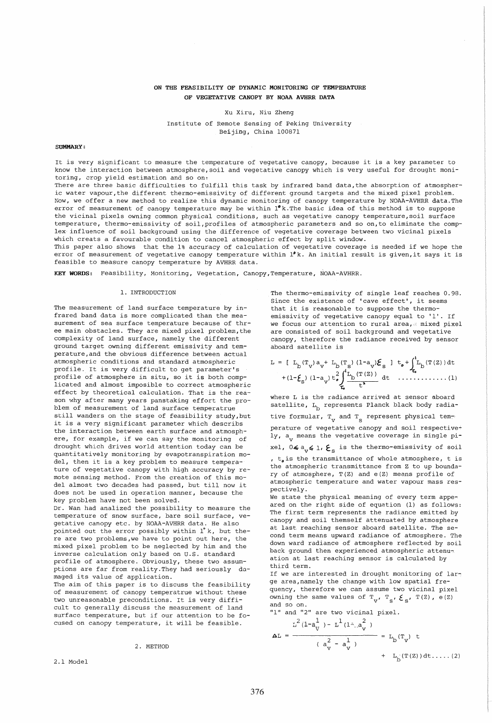# ON THE FEASIBILITY OF DYNAMIC MONITORING OF TEMPERATURE OF VEGETATIVE CANOPY BY NOAA AVHRR DATA

Xu Xiru, Niu Zheng

Institute of Remote Sensing of peking University Beijing, China 100871

# SUMMARY:

It is very significant to measure the temperature of vegetative canopy, because it is a key parameter to know the interaction between atmosphere, soil and vegetative canopy which is very useful for drought monitoring, crop yield estimation and so on,

There are three basic difficulties to fulfill this task by infrared band data, the absorption of atmospheric water vapour,the different thermo-emissivity of different ground targets and the mixed pixel problem. Now, we offer a new method to realize this dynamic monitoring of canopy temperature by NOAA-AVHRR data.The error of measurement of canopy temperature may be within l'k.The basic idea of this method is to suppose the vicinal pixels owning common physical conditions, such as vegetative canopy temperature, soil surface temperature, thermo-emissivity of soil,profiles of atmospheric parameters and so on,to eliminate the complex influence of soil background using the difference of vegetative coverage between two vicinal pixels which creats a favourable condition to cancel atmospheric effect by split window.

This paper also shows that the 1% accuracy of calculation of vegetative coverage is needed if we hope the error of measurement of vegetative canopy temperature within  $1^{\circ}$ k. An initial result is given, it says it is feasible to measure canopy temperature by AVHRR data.

KEY WORDS: Feasibility, Monitoring, vegetation, Canopy, Temperature, NOAA-AVHRR.

## 1. INTRODUCTION

The measurement of land surface temperature by infrared band data is more complicated than the measurement of sea surface temperature because of three main obstacles. They are mixed pixel problem, the complexity of land surface, namely the different ground target owning different emissivity and temperature,and the obvious difference between actual atmospheric conditions and standard atmospheric profile. It is very difficult to get parameter's profile of atmosphere in situ, so it is both complicated and almost imposible to correct atmospheric effect by theoretical calculation. That is the reason why after many years panstaking effort the problem of measurement of land surface temperatrue still wanders on the stage of feasibility study,but it is a very significant parameter which describs the interaction between earth surface and atmosphere, for example, if we can say the monitoring of drought which drives world attention today can be quantitatively monitoring by evapotranspiration model, then it is a key problem to measure temperature of vegetative canopy with high accuracy by remote sensing method. From the creation of this model almost two decades had passed, but till now it does not be used in operation manner, because the key problem have not been solved. Dr. Wan had analized the possibility to measure the temperature of snow surface, bare soil surface, vegetative canopy etc. by NOAA-AVHRR data. He also pointed out the error possibly within 1°k, but there are two problems, we have to point out here, the mixed pixel problem to be neglected by him and the inverse calculation only based on U.S. standard profile of atmosphere. Obviously, these two assumptions are far from reality.They had seriously damaged its value of application. The aim of this paper is to discuss the feasibility of measurement of canopy temperatrue without these two unreasonable preconditions. It is very difficult to generally discuss the measurement of land surface temperature, but if our attention to be focused on canopy temperature, it will be feasible.

#### 2. METHOD

2.1 Model

The thermo-emissivity of single leaf reaches 0.98. Since the existence of 'cave effect', it seems that it is reasonable to suppose the thermoemissivity of vegetative canopy equal to **'1'.** If we focus our attention to rural area, mixed pixel are consisted of soil background and vegetative canopy, therefore the radiance received by sensor aboard satellite is

to+j'Lb(T(Z))dt 1:. ....•..•..... (1)

where L is the radiance arrived at sensor aboard satellite,  $L_b$  represents Planck black body radiative formular,  $T_{V}$  and  $T_{S}$  represent physical tem-

perature of vegetative canopy and soil respective<sup>+</sup> ly, a<sub>v</sub> means the vegetative coverage in single pi-

xel,  $0\leq a_{v}\leq 1$ ,  $\boldsymbol{\xi}_{s}$  is the thermo-emissivity of soil

,  $t<sub>o</sub>$  is the transmittance of whole atmosphere, t is the atmospheric transmittance from Z to up boundary of atmosphere, T(Z) and e(Z) means profile of atmospheric temperature and water vapour mass respectively.

We state the physical meaning of every term appeared on the right side of equation (1) as follows: The first term represents the radiance emitted by canopy and soil themself attenuated by atmosphere at last reaching sensor aboard satellite. The second term means upward radiance of atmosphere. The down ward radiance of atmosphere reflected by soil back ground then experienced atmospheric attenuation at last reaching sensor is calculated by third term.

If we are interested in drought monitoring of large area, namely the change with low spatial frequency, therefore we can assume two vicinal pixel owning the same values of  $T_{V}$ ,  $T_{S}$ ,  $\mathcal{E}_{S}$ ,  $T(Z)$ , e(Z) and so on.

"1" and "2" are two vicinal pixel.

$$
\Delta L = \frac{\sum_{i=1}^{2} (1 - a_{ij}^{\frac{1}{2}}) - L^{\frac{1}{2}} (1 - a_{ij}^{\frac{2}{2}})}{(a_{ij}^{2} - a_{ij}^{\frac{1}{2}})} = L_{b}(\mathbf{T}_{ij}) + L_{b}(\mathbf{T}(z)) dt \dots (2)
$$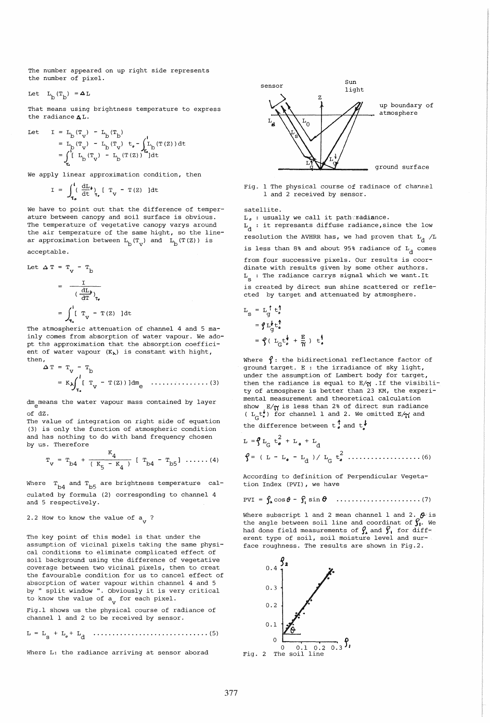The number appeared on up right side represents the number of pixel.

Let  $L_h(T_h) = \Delta L$ 

That means using brightness temperature to express the radiance A L.

Let 
$$
I = L_b(T_v) - L_b(T_b)
$$
  
\n
$$
= L_b(T_v) - L_b(T_v) + L_b \int_{t_b}^{t_b} (T(z)) dt
$$
\n
$$
= \int_{t_b}^{t} L_b(T_v) - L_b(T(z)) \int_{t_b}^{t_b} (T(z)) dt
$$

We apply linear approximation condition, then

$$
I = \int_{\tau_o}^{l} \left( \frac{dL}{dt} \right)_{\tau_r} \left[ T_v - T(Z) \right] dt
$$

We have to point out that the difference of temperature between canopy and soil surface is obvious. The temperature of vegetative canopy varys around the air temperature of the same hight, so the linear approximation between  $L_b(T_v)$  and  $L_b(T(Z))$  is acceptable.

Let 
$$
\Delta T = T_V - T_D
$$
  
\n
$$
= \frac{I}{\left(\frac{dI_D}{dT}\right)_V}
$$
\n
$$
= \int_{T_e}^{1} \left[T_V - T(Z)\right] dt
$$

The atmospheric attenuation of channel 4 and 5 mainly comes from absorption of water vapour. We adopt the approximation that the absorption coefficient of water vapour  $(K_{\lambda})$  is constant with hight, then,

$$
\Delta T = T_v - T_b
$$
  
=  $K \lambda \int_{\tau_e}^{1} [T_v - T(Z))] dm_e$  (3)

dm<sub>e</sub>means the water vapour mass contained by layer of dZ.

The value of integration on right side of equation (3) is only the function of atmospheric condition and has nothing to do with band frequency chosen by us. Therefore

$$
T_v = T_{b4} + \frac{K_4}{(K_5 - K_4)}
$$
 [ $T_{b4} - T_{b5}$ ] ....(4)

Where  $T_{b4}$  and  $T_{b5}$  are brightness temperature calculated by formula (2) corresponding to channel 4 and 5 respectively.

## 2.2 How to know the value of  $a_{1}$ ?

The key point of this model is that under the assumption of vicinal pixels taking the same physical conditions to eliminate complicated effect of soil background using the difference of vegetative coverage between two vicinal pixels, then to creat the favourable condition for us to cancel effect of absorption of water vapour within channel 4 and 5 by " split window" Obviously it is very critical to know the value of  $a_v$  for each pixel.

Fig.l shows us the physical course of radiance of channel 1 and 2 to be received by sensor.

<sup>L</sup>= Ls + L" <sup>+</sup>Ld .............................. (5)

Where L: the radiance arriving at sensor aborad



Fig. 1 The physical course of radinace of channel 1 and 2 received by sensor.

satellite.  $L_{o}$  : usually we call it patheradiance.  $L_d$  : it represants diffuse radiance, since the low resolution the AVHRR has, we had proven that  $L_d$  /L is less than 8% and about 95% radiance of  $L_d$  comes from four successive pixels. Our results is coordinate with results given by some other authors.  $L_{\rm g}$  : The radiance carrys signal which we want.It is created by direct sun shine scattered or reflected by target and attenuated by atmosphere.

$$
LS = L0d + Li2
$$
  
=  $\oint L0d + Li2$   

$$
= \oint (LG + Lid + \frac{R}{R}) + Lid
$$

Where  $\oint$ : the bidirectional reflectance factor of ground target. E : the irradiance of sky light, under the assumption of Lambert body for target, then the radiance is equal to  $E/\gamma$ . If the visibility of atmosphere is better than 23 KM, the experimental measurement and theoretical calculation show  $E/\gamma$  is less than 2% of direct sun radiance (  $L_c t_s^{\psi}$ ) for channel 1 and 2. We omitted  $E/\gamma$  and the difference between  $t^{\uparrow}$  and  $t^{\downarrow}$ 

$$
L = \oint L_G t_e^2 + L_e + L_d
$$
  

$$
\oint = (L - L_e - L_d) / L_G t_e^2 \dots (6)
$$

According to definition of Perpendicular Vegetation Index (PVI), we have

$$
PVI = \int_{\mathbf{a}} \cos \theta - \int_{\mathbf{i}} \sin \theta \quad \ldots \ldots \ldots \ldots \ldots \ldots \ldots \ldots (7)
$$

Where subscript 1 and 2 mean channel 1 and 2.  $\theta$  is the angle between soil line and coordinat of  $S_t$ . We had done field measurements of  $\mathcal{G}_1$  and  $\mathcal{G}_1$  for different type of soil, soil moisture level and surface roughness. The results are shown in Fig.2.

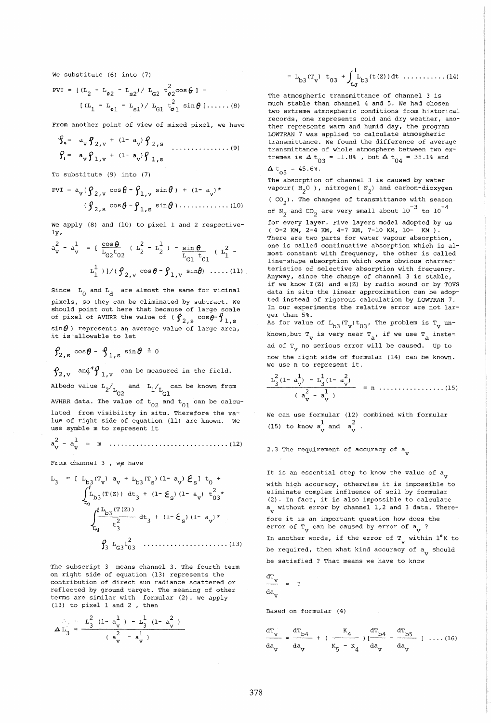We substitute (6) into (7)

$$
PVI = [(L2 - L02 - LS2)/ LG2 t022 cos \theta] - [(L1 - L01 - LS1)/ LG1 t012 sin \theta]....(8)
$$

From another point of view of mixed pixel, we have

$$
\mathcal{G}_1 = a_v \mathcal{G}_{2,v} + (1 - a_v) \mathcal{G}_{2,s} \dots
$$
  

$$
\mathcal{G}_i = a_v \mathcal{G}_{1,v} + (1 - a_v) \mathcal{G}_{1,s} \dots
$$
 (9)

To substitute (9) into (7)

$$
PVI = a_V (\rho_{2,v} \cos \theta - \rho_{1,v} \sin \theta) + (1 - a_v)^*
$$
  

$$
(\rho_{2,s} \cos \theta - \rho_{1,s} \sin \theta) \dots \dots \dots \dots \dots (10)
$$

We apply (8) and (10) to pixel 1 and 2 respectively,

$$
a_v^2 - a_v^1 = \left[ \frac{\cos \theta}{L_{G2} t_{02}} \left( L_2^2 - L_2^1 \right) - \frac{\sin \theta}{L_{G1} t_{01}} \left( L_1^2 - L_1^1 \right) \right]
$$
  

$$
L_1^1) \frac{1}{\left( \theta_{2,v} \cos \theta - \theta_{1,v} \sin \theta \right)} \dots \dots (11)
$$

Since  $L_0$  and  $L_d$  are almost the same for vicinal pixels, so they can be eliminated by subtract. We should point out here that because of large scale of pixel of AVHRR the value of (  $\bm{\varphi}_{2, \, \text{s}}$  cos $\bm{\vartheta} \text{-} \bm{\vartheta}_{1, \, \text{s}}$ sin $\theta$ ) represents an average value of large area,<br>it is allowable to let

$$
\mathbf{\hat{y}}_{2,\,\mathrm{s}}\,\cos\theta-\mathbf{\hat{y}}_{1,\,\mathrm{s}}\,\sin\theta\,\doteq\,\mathrm{0}
$$

 $\oint_{2. \text{V}}$  ang<sup> $4$ </sup> $\oint_{1. \text{V}}$  can be measured in the field.

Albedo value  $L_2/L_{G2}$  and  $L_1/L_{G1}$  can be known from Gl AVHRR data. The value of  $t_{02}$  and  $t_{01}$  can be calculated from visibility in situ. Therefore the value of right side of equation (11) are known. We use symble m to represent it

2 1 a - a v v m ••••••••••••••••••••••••••••••• (12)

From channel  $3$ , we have

$$
L_3 = [ L_{b3}(T_v) a_v + L_{b3}(T_s) (1 - a_v) \mathcal{E}_s] t_0 +
$$
  

$$
\int_{\tau_{b}}^{1} L_{b3}(T(z)) dt_3 + (1 - \mathcal{E}_s) (1 - a_v) t_{03}^2 \star
$$
  

$$
\int_{\tau_{b3}}^{1} \frac{L_{b3}(T(z))}{t_3^2} dt_3 + (1 - \mathcal{E}_s) (1 - a_v) \star
$$
  

$$
\int_{\tau_{b3}}^{1} L_{b3}(T(z)) dt_3 + (1 - \mathcal{E}_s) (1 - a_v) \star
$$
  

$$
\int_{3}^{1} L_{b3}(T(s)) dt_3 + (1 - \mathcal{E}_s) (1 - a_v) \star
$$

The subscript 3 means channel 3. The fourth term on right side of equation (13) represents the contribution of direct sun radiance scattered or reflected by ground target. The meaning of other terms are similar with formular (2). We apply (13) to pixel 1 and 2 , then

$$
\Delta L_3 = \frac{L_3^2 (1 - a_v^1) - L_3^1 (1 - a_v^2)}{(a_v^2 - a_v^1)}
$$

$$
= L_{b3}(T_v) \t t_{03} + \int_{\tau_{\bullet 3}}^1 L_{b3}(t(z)) dt \ldots \ldots \ldots \ldots (14)
$$

The atmospheric transmittance of channel 3 is much stable than channel 4 and 5. We had chosen two extreme atmospheric conditions from historical records, one represents cold and dry weather, another represents warm and humid day, the program LOWTRAN 7 was applied to calculate atmospheric transmittance. We found the difference of average transmittance of whole atmosphere between two extremes is  $4 t_{03} = 11.8$ %, but  $4 t_{04} = 35.1$ % and

$$
\Delta t_{o5} = 45.6\%.
$$

The absorption of channel 3 is caused by water vapour ( $H_2^0$ ), nitrogen ( $N_2^0$ ) and carbon-dioxygen ( $CO_2$ ). The changes of transmittance with season of  $N_2$  and  $CO_2$  are very small about  $10^{-3}$  to  $10^{-4}$ for every layer. Five layers model adopted by us ( 0-2 KM, 2-4 KM, 4-7 KM, 7-10 KM, 10- KM). There are two parts for water vapour absorption, one is called continuative absorption which is almost constant with frequency, the other is called line-shape absorption which owns obvious charracteristics of selective absorption with frequency. Anyway, since the change of channel 3 is stable, if we know T(Z) and e(Z) by radio sound or by TOVS data in situ the linear approximation can be adopted instead of rigorous calculation by LOWTRAN 7. In our experiments the relative error are not larger than 5%. As for value of  $L_{b3}(T_v)t_{03'}$ , The problem is  $T_v$  un-

known,but  $T_{\text{v}}$  is very near  $T_{\text{a}}$ , if we use  $T_{\text{a}}$  instead of  $T_{V}$  no serious error will be caused. Up to now the right side of formular (14) can be known. We use n to represent it.

2 1 a - a v v n ................. (15)

We can use formular (12) combined with formular (15) to know  $a_V^1$  and  $a_V^2$ 

2.3 The requirement of accuracy of a<sub>v</sub>

It is an essential step to know the value of  $a_{_{\mathbf{V}}}$ with high accuracy, otherwise it is impossible to eliminate complex influence of soil by formular (2). In fact, it is also impossible to calculate  $a_{\mathbf{v}}$  without error by channel 1,2 and 3 data. Therefore it is an important question how does the error of  $T_v$  can be caused by error of  $a_v$  ? In another words, if the error of  $T_{V}$  within  $1^{\circ}$ K to be required, then what kind accuracy of a<sub>v</sub> should be satisfied ? That means we have to know

$$
\frac{dT_v}{da_v} = ?
$$

Based on formular (4)

$$
\frac{d^{T}v}{da_{v}} = \frac{d^{T}b4}{da_{v}} + (\frac{K_{4}}{K_{5} - K_{4}}) \frac{d^{T}b4}{da_{v}} - \frac{d^{T}b5}{da_{v}} \quad 1 \dots (16)
$$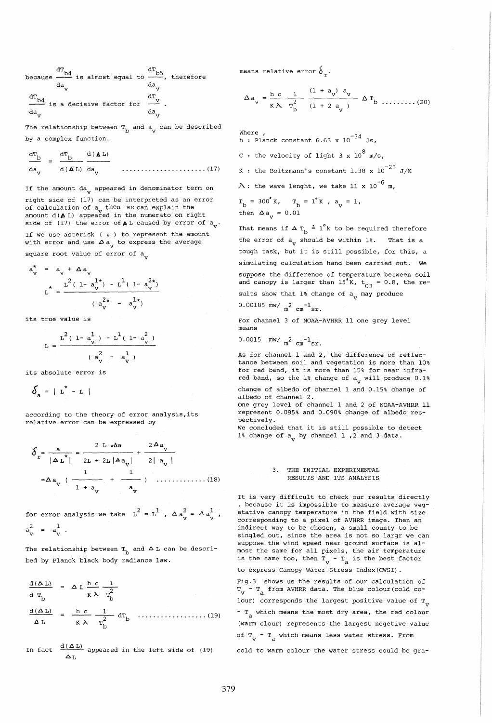because  $\frac{dT_{\rm b4}}{dT_{\rm b5}}$  is almost equal to  $\frac{dT_{\rm b5}}{T}$ , therefore da <sub>v</sub> da v <sup>da</sup> v  $\frac{d\mathbf{T}_{\mathbf{b4}}}{d\mathbf{T}_{\mathbf{b4}}}$  is a decisive factor for  $\frac{d\mathbf{T}_{\mathbf{v}}}{d\mathbf{T}_{\mathbf{b4}}}$ da da v v

The relationship between  $T_{\text{b}}$  and  $a_{\text{v}}$  can be described by a complex function.

$$
\frac{dT_{\rm b}}{da_{\rm v}} = \frac{dT_{\rm b}}{d(\Delta L)} \frac{d(\Delta L)}{da_{\rm v}} \qquad \qquad \dots \dots \dots \dots \dots \dots \dots \dots \dots \dots \dots \tag{17}
$$

If the amount da<sub>y</sub> appeared in denominator term on right side of (17) can be interpreted as an error of calculation of  $a_{r}$  then we can explain the amount  $d(A L)$  appeared in the numerato on right side of (17) the error of  $\triangle$  L caused by error of  $a_y$ .

If we use asterisk ( $\star$ ) to represent the amount with error and use  $\Delta a_{V}$  to express the average square root value of error of  $a_{\rm v}$ 

$$
a_{V}^{*} = a_{V} + \Delta a_{V}
$$
  

$$
L^{*} = \frac{L^{2}(1 - a_{V}^{1*}) - L^{1}(1 - a_{V}^{2*})}{(a_{V}^{2*} - a_{V}^{1*})}
$$

its true value is

$$
L = \frac{L^2(1 - a_v^1) - L^1(1 - a_v^2)}{(a_v^2 - a_v^1)}
$$

its absolute error is

$$
\delta_a = \mid \mathbf{L}^{\star} - \mathbf{L} \mid
$$

according to the theory of error analysis, its relative error can be expressed by

s = 2 L \*tJ.a 2J).a a + <sup>v</sup> r \* 2L IAa) 21 a v IAL 1 2L <sup>+</sup><sup>1</sup> 1 1 =Aa + ............. (18) v 1 <sup>+</sup>a a v v

for error analysis we take  $L^2 = L^1$ ,  $\Delta a_v^2 = \Delta a_v^1$ ,  $a_v^2 = a_v^1$ 

The relationship between  $T_b$  and  $\Delta L$  can be described by Planck black body radiance law.

$$
\frac{d(\Delta L)}{d T_b} = \Delta L \frac{h c}{\kappa \lambda} \frac{1}{T_b^2}
$$
\n
$$
\frac{d(\Delta L)}{\Delta L} = \frac{h c}{\kappa \lambda} \frac{1}{T_b^2} d T_b \dots (19)
$$

In fact  $\frac{d(\Delta L)}{L}$  appeared in the left side of (19)  $\Delta T$ 

means relative error  $\delta$ .

$$
\Delta a_{v} = \frac{h c}{K \lambda} \frac{1}{T_{b}^{2}} \frac{(1 + a_{v})^{a} v}{(1 + 2 a_{v})} \Delta T_{b} \dots \dots \dots (20)
$$

Where ,<br>h : Planck constant 6.63 x 10<sup>-34</sup> Js, C : the velocity of light 3 x  $10^8$  m/s, K : the Boltzmann's constant 1.38 x  $10^{-23}$  J/K  $\lambda$  : the wave lenght, we take 11 x 10 $^{-6}$  m,  $T_{\rm b}$  = 300°K,  $T_{\rm b}$  = 1°K,  $a_{\rm v}$  = 1, then  $\Delta a$  = 0.01

That means if  $\Delta T_b = 1^{\circ}k$  to be required therefore the error of  $a_{v}$  should be within 1%. That is a tough task, but it is still possible, for this, a simulating calculation hand been carried out. We suppose the difference of temperature between soil and canopy is larger than  $15\overline{K}$ ,  $t_{03} = 0.8$ , the results show that  $1\frac{1}{3}$  change of  $a_{\text{V}}$  may produce

0.00185 mw/  $m^2$  cm<sup>-1</sup>sr.

For channel 3 of NOAA-AVHRR 11 one grey level means

 $0.0015$  mw/  $\frac{2}{m^2}$  cm<sup>-1</sup>sr.

As for channel 1 and 2, the difference of reflectance between soil and vegetation is more than 10% for red band, it is more than 15% for near infrared band, so the 1% change of a<sub>v</sub> will produce 0.1%

change of albedo of channel 1 and 0.15% change of albedo of channel 2.

One grey level of channel 1 and 2 of NOAA-AVHRR 11 represent 0.095% and 0.090% change of albedo respectively.

We concluded that it is still possible to detect 1% change of  $a_v$  by channel 1, 2 and 3 data.

### 3. THE INITIAL EXPERIMENTAL RESULTS AND ITS ANALYSIS

It is very difficult to check our results directly , because it is impossible to measure average vegetative canopy temperature in the field with size corresponding to a pixel of AVHRR image. Then an indirect way to be chosen, a small county to be singled out, since the area is not so largr we can suppose the wind speed near ground surface is almost the same for all pixels, the air temperature is the same too, then  $T_v - T_a$  is the best factor to express Canopy Water Stress Index (CWSI) .

Fig.3 shows us the results of our calculation of  $T_{V}$  -  $T_{A}$  from AVHRR data. The blue colour(cold colour) corresponds the largest positive value of  $T_{\text{v}}$  $-$  T<sub>a</sub> which means the most dry area, the red colour (warm clour) represents the largest negetive value of  $T_{\rm v}$  -  $T_{\rm a}$  which means less water stress. From

cold to warm colour the water stress could be gra-